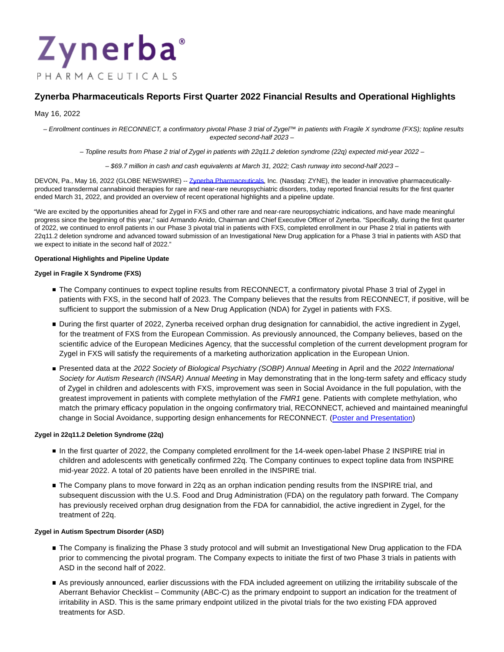# Zynerba PHARMACEUTICALS

# **Zynerba Pharmaceuticals Reports First Quarter 2022 Financial Results and Operational Highlights**

# May 16, 2022

– Enrollment continues in RECONNECT, a confirmatory pivotal Phase 3 trial of Zygel™ in patients with Fragile X syndrome (FXS); topline results expected second-half 2023 –

– Topline results from Phase 2 trial of Zygel in patients with 22q11.2 deletion syndrome (22q) expected mid-year 2022 –

– \$69.7 million in cash and cash equivalents at March 31, 2022; Cash runway into second-half 2023 –

DEVON, Pa., May 16, 2022 (GLOBE NEWSWIRE) -[- Zynerba Pharmaceuticals,](https://www.globenewswire.com/Tracker?data=nvjBSoLSqROUc5UNOA_080mNzAWMRYdKX1rjjrZV_dfK5znwjSwLe_sLYo1gjs-R9dCgh3IrFSFm6OoagoO2ry9gWHRvrPoMsdgBKI0z8bri4AgrTPwBkzLdYWwncJo2UAdHiHi9CX7Wwa7Vr1EpwEnQt4jS8BzvxmCOXAPRDu5AL0yNufcsGMJAY_IE39s_10FvMBcElJdENywO2wji6psMMyFJOW-DwPty2V6x_xkzGB33siyHtGhLRmAPr0l0LFZEHLvYXNPI-W1OHv5kq0_VfmI2z0fu6P49YNkxkqOWornnfPTBMM2CoBp3_zKvlHOCV6aU1evrYIOgN_8VbKojx-y1BXMYou7UOu8HVC12uzQg-OMaf1PEruCQMIj6fgwTDkO3hPH9T3YEdi10-GmssStu_0NgPBK-7ojVQFvX-A6HQ7P73Z0IPYZ7yGBHCQ29WWMtfcLGL4-BjzFXB19nL2NDGcoxpyyKabl9i8M=) Inc. (Nasdaq: ZYNE), the leader in innovative pharmaceuticallyproduced transdermal cannabinoid therapies for rare and near-rare neuropsychiatric disorders, today reported financial results for the first quarter ended March 31, 2022, and provided an overview of recent operational highlights and a pipeline update.

"We are excited by the opportunities ahead for Zygel in FXS and other rare and near-rare neuropsychiatric indications, and have made meaningful progress since the beginning of this year," said Armando Anido, Chairman and Chief Executive Officer of Zynerba. "Specifically, during the first quarter of 2022, we continued to enroll patients in our Phase 3 pivotal trial in patients with FXS, completed enrollment in our Phase 2 trial in patients with 22q11.2 deletion syndrome and advanced toward submission of an Investigational New Drug application for a Phase 3 trial in patients with ASD that we expect to initiate in the second half of 2022."

# **Operational Highlights and Pipeline Update**

# **Zygel in Fragile X Syndrome (FXS)**

- The Company continues to expect topline results from RECONNECT, a confirmatory pivotal Phase 3 trial of Zygel in patients with FXS, in the second half of 2023. The Company believes that the results from RECONNECT, if positive, will be sufficient to support the submission of a New Drug Application (NDA) for Zygel in patients with FXS.
- During the first quarter of 2022, Zynerba received orphan drug designation for cannabidiol, the active ingredient in Zygel, for the treatment of FXS from the European Commission. As previously announced, the Company believes, based on the scientific advice of the European Medicines Agency, that the successful completion of the current development program for Zygel in FXS will satisfy the requirements of a marketing authorization application in the European Union.
- Presented data at the 2022 Society of Biological Psychiatry (SOBP) Annual Meeting in April and the 2022 International Society for Autism Research (INSAR) Annual Meeting in May demonstrating that in the long-term safety and efficacy study of Zygel in children and adolescents with FXS, improvement was seen in Social Avoidance in the full population, with the greatest improvement in patients with complete methylation of the FMR1 gene. Patients with complete methylation, who match the primary efficacy population in the ongoing confirmatory trial, RECONNECT, achieved and maintained meaningful change in Social Avoidance, supporting design enhancements for RECONNECT. [\(Poster and Presentation\)](https://www.zynerba.com/publications/)

# **Zygel in 22q11.2 Deletion Syndrome (22q)**

- In the first quarter of 2022, the Company completed enrollment for the 14-week open-label Phase 2 INSPIRE trial in children and adolescents with genetically confirmed 22q. The Company continues to expect topline data from INSPIRE mid-year 2022. A total of 20 patients have been enrolled in the INSPIRE trial.
- The Company plans to move forward in 22q as an orphan indication pending results from the INSPIRE trial, and subsequent discussion with the U.S. Food and Drug Administration (FDA) on the regulatory path forward. The Company has previously received orphan drug designation from the FDA for cannabidiol, the active ingredient in Zygel, for the treatment of 22q.

# **Zygel in Autism Spectrum Disorder (ASD)**

- The Company is finalizing the Phase 3 study protocol and will submit an Investigational New Drug application to the FDA prior to commencing the pivotal program. The Company expects to initiate the first of two Phase 3 trials in patients with ASD in the second half of 2022.
- As previously announced, earlier discussions with the FDA included agreement on utilizing the irritability subscale of the Aberrant Behavior Checklist – Community (ABC-C) as the primary endpoint to support an indication for the treatment of irritability in ASD. This is the same primary endpoint utilized in the pivotal trials for the two existing FDA approved treatments for ASD.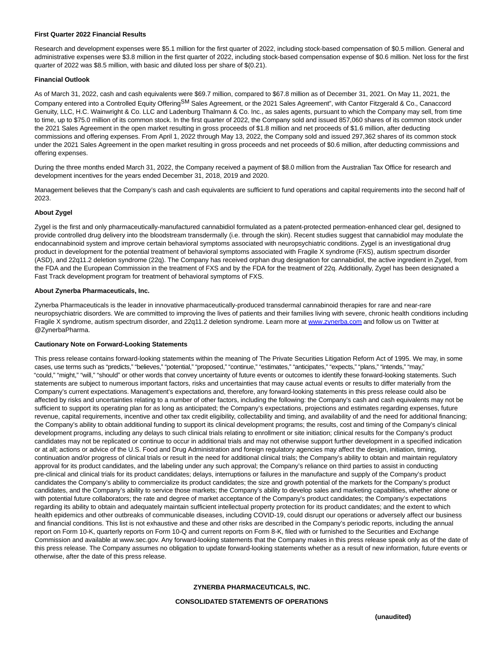#### **First Quarter 2022 Financial Results**

Research and development expenses were \$5.1 million for the first quarter of 2022, including stock-based compensation of \$0.5 million. General and administrative expenses were \$3.8 million in the first quarter of 2022, including stock-based compensation expense of \$0.6 million. Net loss for the first quarter of 2022 was \$8.5 million, with basic and diluted loss per share of \$(0.21).

#### **Financial Outlook**

As of March 31, 2022, cash and cash equivalents were \$69.7 million, compared to \$67.8 million as of December 31, 2021. On May 11, 2021, the Company entered into a Controlled Equity OfferingSM Sales Agreement, or the 2021 Sales Agreement", with Cantor Fitzgerald & Co., Canaccord Genuity, LLC, H.C. Wainwright & Co. LLC and Ladenburg Thalmann & Co. Inc., as sales agents, pursuant to which the Company may sell, from time to time, up to \$75.0 million of its common stock. In the first quarter of 2022, the Company sold and issued 857,060 shares of its common stock under the 2021 Sales Agreement in the open market resulting in gross proceeds of \$1.8 million and net proceeds of \$1.6 million, after deducting commissions and offering expenses. From April 1, 2022 through May 13, 2022, the Company sold and issued 297,362 shares of its common stock under the 2021 Sales Agreement in the open market resulting in gross proceeds and net proceeds of \$0.6 million, after deducting commissions and offering expenses.

During the three months ended March 31, 2022, the Company received a payment of \$8.0 million from the Australian Tax Office for research and development incentives for the years ended December 31, 2018, 2019 and 2020.

Management believes that the Company's cash and cash equivalents are sufficient to fund operations and capital requirements into the second half of 2023.

#### **About Zygel**

Zygel is the first and only pharmaceutically-manufactured cannabidiol formulated as a patent-protected permeation-enhanced clear gel, designed to provide controlled drug delivery into the bloodstream transdermally (i.e. through the skin). Recent studies suggest that cannabidiol may modulate the endocannabinoid system and improve certain behavioral symptoms associated with neuropsychiatric conditions. Zygel is an investigational drug product in development for the potential treatment of behavioral symptoms associated with Fragile X syndrome (FXS), autism spectrum disorder (ASD), and 22q11.2 deletion syndrome (22q). The Company has received orphan drug designation for cannabidiol, the active ingredient in Zygel, from the FDA and the European Commission in the treatment of FXS and by the FDA for the treatment of 22q. Additionally, Zygel has been designated a Fast Track development program for treatment of behavioral symptoms of FXS.

#### **About Zynerba Pharmaceuticals, Inc.**

Zynerba Pharmaceuticals is the leader in innovative pharmaceutically-produced transdermal cannabinoid therapies for rare and near-rare neuropsychiatric disorders. We are committed to improving the lives of patients and their families living with severe, chronic health conditions including Fragile X syndrome, autism spectrum disorder, and 22q11.2 deletion syndrome. Learn more at [www.zynerba.com a](https://www.globenewswire.com/Tracker?data=emhUgZUhli-TXnpJSP68Mz1RW_dDIvVl-X2wWDfnsS5Nj-HyulPm9dsxC7eVbTOjbsT4VR6UFjjbv8R9w_5osA==)nd follow us on Twitter at @ZynerbaPharma.

#### **Cautionary Note on Forward-Looking Statements**

This press release contains forward-looking statements within the meaning of The Private Securities Litigation Reform Act of 1995. We may, in some cases, use terms such as "predicts," "believes," "potential," "proposed," "continue," "estimates," "anticipates," "expects," "plans," "intends," "may," "could," "might," "will," "should" or other words that convey uncertainty of future events or outcomes to identify these forward-looking statements. Such statements are subject to numerous important factors, risks and uncertainties that may cause actual events or results to differ materially from the Company's current expectations. Management's expectations and, therefore, any forward-looking statements in this press release could also be affected by risks and uncertainties relating to a number of other factors, including the following: the Company's cash and cash equivalents may not be sufficient to support its operating plan for as long as anticipated; the Company's expectations, projections and estimates regarding expenses, future revenue, capital requirements, incentive and other tax credit eligibility, collectability and timing, and availability of and the need for additional financing; the Company's ability to obtain additional funding to support its clinical development programs; the results, cost and timing of the Company's clinical development programs, including any delays to such clinical trials relating to enrollment or site initiation; clinical results for the Company's product candidates may not be replicated or continue to occur in additional trials and may not otherwise support further development in a specified indication or at all; actions or advice of the U.S. Food and Drug Administration and foreign regulatory agencies may affect the design, initiation, timing, continuation and/or progress of clinical trials or result in the need for additional clinical trials; the Company's ability to obtain and maintain regulatory approval for its product candidates, and the labeling under any such approval; the Company's reliance on third parties to assist in conducting pre-clinical and clinical trials for its product candidates; delays, interruptions or failures in the manufacture and supply of the Company's product candidates the Company's ability to commercialize its product candidates; the size and growth potential of the markets for the Company's product candidates, and the Company's ability to service those markets; the Company's ability to develop sales and marketing capabilities, whether alone or with potential future collaborators; the rate and degree of market acceptance of the Company's product candidates; the Company's expectations regarding its ability to obtain and adequately maintain sufficient intellectual property protection for its product candidates; and the extent to which health epidemics and other outbreaks of communicable diseases, including COVID-19, could disrupt our operations or adversely affect our business and financial conditions. This list is not exhaustive and these and other risks are described in the Company's periodic reports, including the annual report on Form 10-K, quarterly reports on Form 10-Q and current reports on Form 8-K, filed with or furnished to the Securities and Exchange Commission and available at www.sec.gov. Any forward-looking statements that the Company makes in this press release speak only as of the date of this press release. The Company assumes no obligation to update forward-looking statements whether as a result of new information, future events or otherwise, after the date of this press release.

### **ZYNERBA PHARMACEUTICALS, INC.**

#### **CONSOLIDATED STATEMENTS OF OPERATIONS**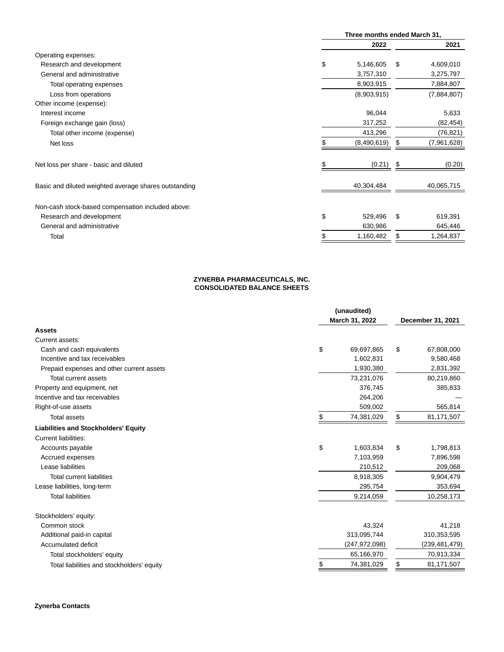|                                                       | Three months ended March 31, |    |             |
|-------------------------------------------------------|------------------------------|----|-------------|
|                                                       | 2022                         |    | 2021        |
| Operating expenses:                                   |                              |    |             |
| \$<br>Research and development                        | 5,146,605                    | S  | 4,609,010   |
| General and administrative                            | 3,757,310                    |    | 3,275,797   |
| Total operating expenses                              | 8,903,915                    |    | 7,884,807   |
| Loss from operations                                  | (8,903,915)                  |    | (7,884,807) |
| Other income (expense):                               |                              |    |             |
| Interest income                                       | 96,044                       |    | 5,633       |
| Foreign exchange gain (loss)                          | 317,252                      |    | (82, 454)   |
| Total other income (expense)                          | 413,296                      |    | (76, 821)   |
| Net loss                                              | (8,490,619)                  | \$ | (7,961,628) |
| Net loss per share - basic and diluted                | (0.21)                       |    | (0.20)      |
| Basic and diluted weighted average shares outstanding | 40,304,484                   |    | 40,065,715  |
| Non-cash stock-based compensation included above:     |                              |    |             |
| \$<br>Research and development                        | 529,496                      | S  | 619,391     |
| General and administrative                            | 630,986                      |    | 645,446     |
| Total                                                 | 1,160,482                    | \$ | 1,264,837   |

# **ZYNERBA PHARMACEUTICALS, INC. CONSOLIDATED BALANCE SHEETS**

| (unaudited)                                 |                |                 |                   |                 |
|---------------------------------------------|----------------|-----------------|-------------------|-----------------|
|                                             | March 31, 2022 |                 | December 31, 2021 |                 |
| <b>Assets</b>                               |                |                 |                   |                 |
| Current assets:                             |                |                 |                   |                 |
| Cash and cash equivalents                   | \$             | 69,697,865      | \$                | 67,808,000      |
| Incentive and tax receivables               |                | 1,602,831       |                   | 9,580,468       |
| Prepaid expenses and other current assets   |                | 1,930,380       |                   | 2,831,392       |
| Total current assets                        |                | 73,231,076      |                   | 80,219,860      |
| Property and equipment, net                 |                | 376,745         |                   | 385,833         |
| Incentive and tax receivables               |                | 264,206         |                   |                 |
| Right-of-use assets                         |                | 509,002         |                   | 565,814         |
| <b>Total assets</b>                         |                | 74,381,029      | \$                | 81,171,507      |
| <b>Liabilities and Stockholders' Equity</b> |                |                 |                   |                 |
| <b>Current liabilities:</b>                 |                |                 |                   |                 |
| Accounts payable                            | \$             | 1,603,834       | \$                | 1,798,813       |
| Accrued expenses                            |                | 7,103,959       |                   | 7,896,598       |
| Lease liabilities                           |                | 210,512         |                   | 209,068         |
| <b>Total current liabilities</b>            |                | 8,918,305       |                   | 9,904,479       |
| Lease liabilities, long-term                |                | 295,754         |                   | 353,694         |
| <b>Total liabilities</b>                    |                | 9,214,059       |                   | 10,258,173      |
| Stockholders' equity:                       |                |                 |                   |                 |
| Common stock                                |                | 43,324          |                   | 41,218          |
| Additional paid-in capital                  |                | 313,095,744     |                   | 310,353,595     |
| Accumulated deficit                         |                | (247, 972, 098) |                   | (239, 481, 479) |
| Total stockholders' equity                  |                | 65,166,970      |                   | 70,913,334      |
| Total liabilities and stockholders' equity  | \$             | 74,381,029      | \$                | 81,171,507      |